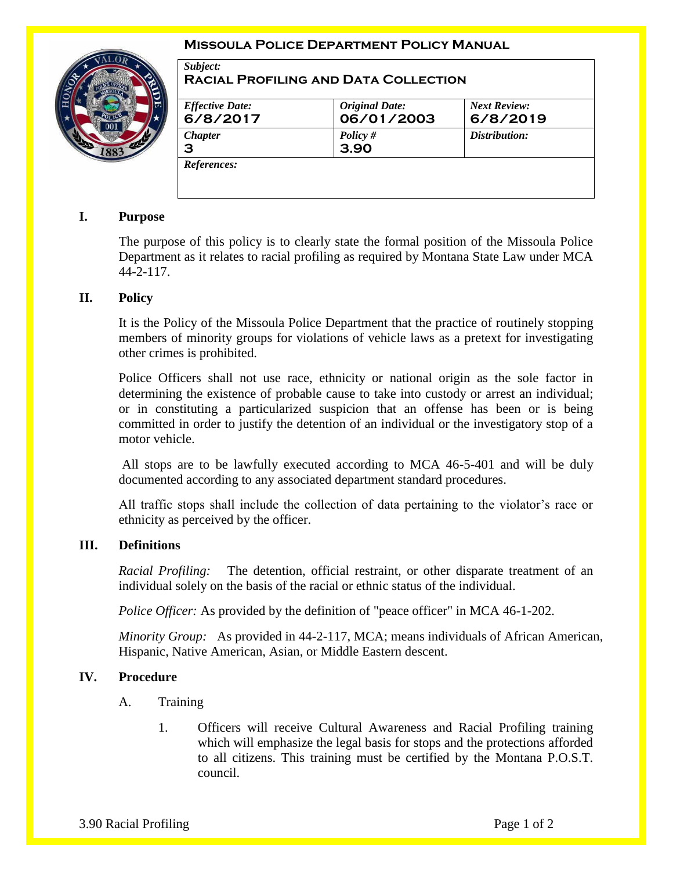#### **Missoula Police Department Policy Manual**



| <b>Effective Date:</b> | <b>Original Date:</b> | <b>Next Review:</b> |
|------------------------|-----------------------|---------------------|
| 6/8/2017               | 06/01/2003            | 6/8/2019            |
| <b>Chapter</b>         | Policy #              | Distribution:       |
| З                      | 3.90                  |                     |

# **I. Purpose**

The purpose of this policy is to clearly state the formal position of the Missoula Police Department as it relates to racial profiling as required by Montana State Law under MCA 44-2-117.

## **II. Policy**

It is the Policy of the Missoula Police Department that the practice of routinely stopping members of minority groups for violations of vehicle laws as a pretext for investigating other crimes is prohibited.

Police Officers shall not use race, ethnicity or national origin as the sole factor in determining the existence of probable cause to take into custody or arrest an individual; or in constituting a particularized suspicion that an offense has been or is being committed in order to justify the detention of an individual or the investigatory stop of a motor vehicle.

All stops are to be lawfully executed according to MCA 46-5-401 and will be duly documented according to any associated department standard procedures.

All traffic stops shall include the collection of data pertaining to the violator's race or ethnicity as perceived by the officer.

#### **III. Definitions**

*Racial Profiling:* The detention, official restraint, or other disparate treatment of an individual solely on the basis of the racial or ethnic status of the individual.

*Police Officer:* As provided by the definition of "peace officer" in MCA 46-1-202.

*Minority Group:* As provided in 44-2-117, MCA; means individuals of African American, Hispanic, Native American, Asian, or Middle Eastern descent.

# **IV. Procedure**

- A. Training
	- 1. Officers will receive Cultural Awareness and Racial Profiling training which will emphasize the legal basis for stops and the protections afforded to all citizens. This training must be certified by the Montana P.O.S.T. council.